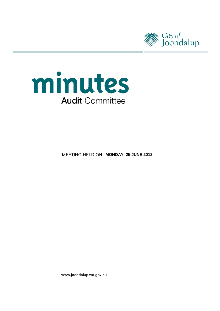



**MEETING HELD ON MONDAY, 25 JUNE 2012** 

www.joondalup.wa.gov.au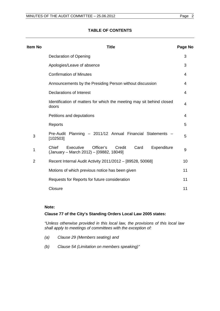## **TABLE OF CONTENTS**

| Item No | <b>Title</b>                                                                                                | Page No |
|---------|-------------------------------------------------------------------------------------------------------------|---------|
|         | Declaration of Opening                                                                                      | 3       |
|         | Apologies/Leave of absence                                                                                  | 3       |
|         | <b>Confirmation of Minutes</b>                                                                              | 4       |
|         | Announcements by the Presiding Person without discussion                                                    | 4       |
|         | Declarations of Interest                                                                                    | 4       |
|         | Identification of matters for which the meeting may sit behind closed<br>doors                              | 4       |
|         | Petitions and deputations                                                                                   | 4       |
|         | Reports                                                                                                     | 5       |
| 3       | Pre-Audit Planning - 2011/12 Annual Financial Statements<br>[102503]                                        | 5       |
| 1       | Chief<br>Executive<br>Officer's<br>Credit<br>Card<br>Expenditure<br>(January - March 2012) - [09882, 18049] | 9       |
| 2       | Recent Internal Audit Activity 2011/2012 - [89528, 50068]                                                   | 10      |
|         | Motions of which previous notice has been given                                                             | 11      |
|         | Requests for Reports for future consideration                                                               | 11      |
|         | Closure                                                                                                     | 11      |

## **Note:**

### **Clause 77 of the City's Standing Orders Local Law 2005 states:**

*"Unless otherwise provided in this local law, the provisions of this local law shall apply to meetings of committees with the exception of:*

- *(a) Clause 29 (Members seating) and*
- *(b) Clause 54 (Limitation on members speaking)"*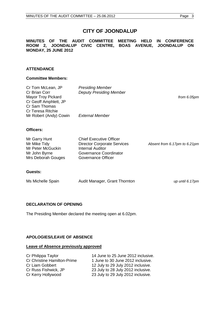# **CITY OF JOONDALUP**

#### **MINUTES OF THE AUDIT COMMITTEE MEETING HELD IN CONFERENCE ROOM 2, JOONDALUP CIVIC CENTRE, BOAS AVENUE, JOONDALUP ON MONDAY, 25 JUNE 2012**

## **ATTENDANCE**

#### **Committee Members:**

| Cr Tom McLean, JP<br>Cr Brian Corr<br><b>Mayor Troy Pickard</b><br>Cr Geoff Amphlett, JP<br>Cr Sam Thomas<br><b>Cr Teresa Ritchie</b><br>Mr Robert (Andy) Cowin | <b>Presiding Member</b><br><b>Deputy Presiding Member</b><br><b>External Member</b>                                                             | from 6.05pm                  |
|-----------------------------------------------------------------------------------------------------------------------------------------------------------------|-------------------------------------------------------------------------------------------------------------------------------------------------|------------------------------|
|                                                                                                                                                                 |                                                                                                                                                 |                              |
| Officers:                                                                                                                                                       |                                                                                                                                                 |                              |
| Mr Garry Hunt<br>Mr Mike Tidy<br>Mr Peter McGuckin<br>Mr John Byrne<br>Mrs Deborah Gouges                                                                       | <b>Chief Executive Officer</b><br><b>Director Corporate Services</b><br><b>Internal Auditor</b><br>Governance Coordinator<br>Governance Officer | Absent from 6.17pm to 6.21pm |
| Guests:                                                                                                                                                         |                                                                                                                                                 |                              |
| Ms Michelle Spain                                                                                                                                               | Audit Manager, Grant Thornton                                                                                                                   | up until 6.17pm              |
|                                                                                                                                                                 |                                                                                                                                                 |                              |

## <span id="page-2-0"></span>**DECLARATION OF OPENING**

The Presiding Member declared the meeting open at 6.02pm.

## <span id="page-2-1"></span>**APOLOGIES/LEAVE OF ABSENCE**

## **Leave of Absence previously approved**

| Cr Philippa Taylor          | 14 June to 25 June 2012 inclusive. |
|-----------------------------|------------------------------------|
| Cr Christine Hamilton-Prime | 1 June to 30 June 2012 inclusive.  |
| Cr Liam Gobbert             | 12 July to 29 July 2012 inclusive. |
| Cr Russ Fishwick, JP        | 23 July to 28 July 2012 inclusive. |
| Cr Kerry Hollywood          | 23 July to 29 July 2012 inclusive. |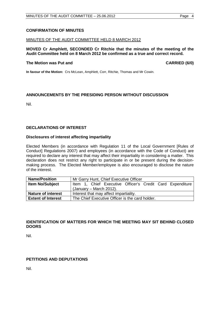## <span id="page-3-0"></span>**CONFIRMATION OF MINUTES**

### MINUTES OF THE AUDIT COMMITTEE HELD 8 MARCH 2012

## **MOVED Cr Amphlett, SECONDED Cr Ritchie that the minutes of the meeting of the Audit Committee held on 8 March 2012 be confirmed as a true and correct record.**

### **The Motion was Put and CARRIED (6/0) CARRIED (6/0)**

**In favour of the Motion:** Crs McLean, Amphlett, Corr, Ritchie, Thomas and Mr Cowin.

## <span id="page-3-1"></span>**ANNOUNCEMENTS BY THE PRESIDING PERSON WITHOUT DISCUSSION**

Nil.

## <span id="page-3-2"></span>**DECLARATIONS OF INTEREST**

### **Disclosures of interest affecting impartiality**

Elected Members (in accordance with Regulation 11 of the Local Government [Rules of Conduct] Regulations 2007) and employees (in accordance with the Code of Conduct) are required to declare any interest that may affect their impartiality in considering a matter. This declaration does not restrict any right to participate in or be present during the decisionmaking process. The Elected Member/employee is also encouraged to disclose the nature of the interest.

| <b>Name/Position</b>      | Mr Garry Hunt, Chief Executive Officer                    |  |  |  |
|---------------------------|-----------------------------------------------------------|--|--|--|
| <b>Item No/Subject</b>    | Item 1, Chief Executive Officer's Credit Card Expenditure |  |  |  |
|                           | (January – March 2012).                                   |  |  |  |
| <b>Nature of interest</b> | Interest that may affect impartiality.                    |  |  |  |
| <b>Extent of Interest</b> | The Chief Executive Officer is the card holder.           |  |  |  |

## <span id="page-3-3"></span>**IDENTIFICATION OF MATTERS FOR WHICH THE MEETING MAY SIT BEHIND CLOSED DOORS**

Nil.

## <span id="page-3-4"></span>**PETITIONS AND DEPUTATIONS**

<span id="page-3-5"></span>Nil.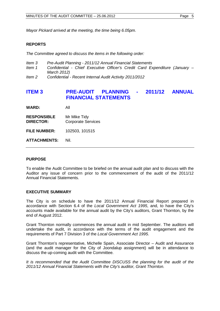*Mayor Pickard arrived at the meeting, the time being 6.05pm.*

### **REPORTS**

*The Committee agreed to discuss the items in the following order:*

- *Item 3 Pre-Audit Planning - 2011/12 Annual Financial Statements*
- *Item 1 Confidential - Chief Executive Officer's Credit Card Expenditure (January – March 2012)*
- *Item 2 Confidential - Recent Internal Audit Activity 2011/2012*

# <span id="page-4-0"></span>**ITEM 3 PRE-AUDIT PLANNING - 2011/12 ANNUAL FINANCIAL STATEMENTS**

**WARD:** All

**RESPONSIBLE** Mr Mike Tidy<br>**DIRECTOR:** Corporate Se **Corporate Services** 

**FILE NUMBER:** 102503, 101515

**ATTACHMENTS:** Nil.

#### **PURPOSE**

To enable the Audit Committee to be briefed on the annual audit plan and to discuss with the Auditor any issue of concern prior to the commencement of the audit of the 2011/12 Annual Financial Statements.

#### **EXECUTIVE SUMMARY**

The City is on schedule to have the 2011/12 Annual Financial Report prepared in accordance with Section 6.4 of the *Local Government Act 1995*, and, to have the City's accounts made available for the annual audit by the City's auditors, Grant Thornton, by the end of August 2012.

Grant Thornton normally commences the annual audit in mid September. The auditors will undertake the audit, in accordance with the terms of the audit engagement and the requirements of Part 7 Division 3 of the *Local Government Act 1995*.

Grant Thornton's representative, Michelle Spain, Associate Director – Audit and Assurance (and the audit manager for the City of Joondalup assignment) will be in attendance to discuss the up-coming audit with the Committee.

*It is recommended that the Audit Committee DISCUSS the planning for the audit of the 2011/12 Annual Financial Statements with the City's auditor, Grant Thornton.*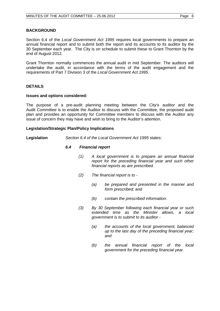Section 6.4 of the *Local Government Act 1995* requires local governments to prepare an annual financial report and to submit both the report and its accounts to its auditor by the 30 September each year. The City is on schedule to submit these to Grant Thornton by the end of August 2012.

Grant Thornton normally commences the annual audit in mid September. The auditors will undertake the audit, in accordance with the terms of the audit engagement and the requirements of Part 7 Division 3 of the *Local Government Act 1995*.

## **DETAILS**

#### **Issues and options considered:**

The purpose of a pre-audit planning meeting between the City's auditor and the Audit Committee is to enable the Auditor to discuss with the Committee, the proposed audit plan and provides an opportunity for Committee members to discuss with the Auditor any issue of concern they may have and wish to bring to the Auditor's attention.

### **Legislation/Strategic Plan/Policy Implications**

**Legislation** *Section 6.4 of the Local Government Act 1995* states:

### *6.4 Financial report*

- *(1) A local government is to prepare an annual financial report for the preceding financial year and such other financial reports as are prescribed.*
- *(2) The financial report is to -*
	- *(a) be prepared and presented in the manner and form prescribed; and*
	- *(b) contain the prescribed information.*
- *(3) By 30 September following each financial year or such extended time as the Minister allows, a local government is to submit to its auditor -*
	- *(a) the accounts of the local government, balanced up to the last day of the preceding financial year; and*
	- *(b) the annual financial report of the local government for the preceding financial year.*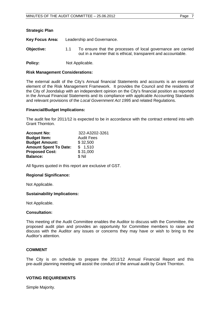| <b>Strategic Plan</b> |                            |                                                                                                                               |
|-----------------------|----------------------------|-------------------------------------------------------------------------------------------------------------------------------|
| Key Focus Area:       | Leadership and Governance. |                                                                                                                               |
| <b>Objective:</b>     | 1.1                        | To ensure that the processes of local governance are carried<br>out in a manner that is ethical, transparent and accountable. |

**Policy:** Not Applicable.

### **Risk Management Considerations:**

The external audit of the City's Annual financial Statements and accounts is an essential element of the Risk Management Framework. It provides the Council and the residents of the City of Joondalup with an independent opinion on the City's financial position as reported in the Annual Financial Statements and its compliance with applicable Accounting Standards and relevant provisions of the *Local Government Act 1995* and related Regulations.

## **Financial/Budget Implications:**

The audit fee for 2011/12 is expected to be in accordance with the contract entered into with Grant Thornton.

| <b>Account No:</b>           | 322-A3202-3261    |  |  |
|------------------------------|-------------------|--|--|
| <b>Budget Item:</b>          | <b>Audit Fees</b> |  |  |
| <b>Budget Amount:</b>        | \$32,500          |  |  |
| <b>Amount Spent To Date:</b> | \$1,510           |  |  |
| <b>Proposed Cost:</b>        | \$31,000          |  |  |
| <b>Balance:</b>              | \$Nil             |  |  |

All figures quoted in this report are exclusive of GST.

## **Regional Significance:**

Not Applicable.

#### **Sustainability Implications:**

Not Applicable.

#### **Consultation:**

This meeting of the Audit Committee enables the Auditor to discuss with the Committee, the proposed audit plan and provides an opportunity for Committee members to raise and discuss with the Auditor any issues or concerns they may have or wish to bring to the Auditor's attention.

## **COMMENT**

The City is on schedule to prepare the 2011/12 Annual Financial Report and this pre-audit planning meeting will assist the conduct of the annual audit by Grant Thornton.

## **VOTING REQUIREMENTS**

Simple Majority.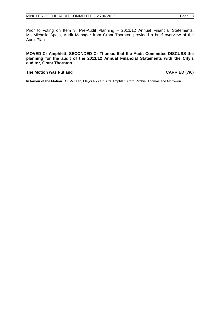Prior to voting on Item 3, Pre-Audit Planning – 2011/12 Annual Financial Statements, Ms Michelle Spain, Audit Manager from Grant Thornton provided a brief overview of the Audit Plan.

### **MOVED Cr Amphlett, SECONDED Cr Thomas that the Audit Committee DISCUSS the planning for the audit of the 2011/12 Annual Financial Statements with the City's auditor, Grant Thornton.**

### **The Motion was Put and CARRIED (7/0)**

**In favour of the Motion:** Cr McLean, Mayor Pickard, Crs Amphlett, Corr, Ritchie, Thomas and Mr Cowin.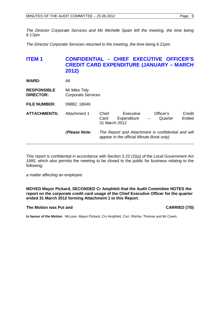*The Director Corporate Services and Ms Michelle Spain left the meeting, the time being 6.17pm.*

*The Director Corporate Services returned to the meeting, the time being 6.21pm.*

# <span id="page-8-0"></span>**ITEM 1 CONFIDENTIAL - CHIEF EXECUTIVE OFFICER'S CREDIT CARD EXPENDITURE (JANUARY – MARCH 2012)**

| <b>WARD:</b> |  | All |
|--------------|--|-----|
|              |  |     |

**RESPONSIBLE** Mr Mike Tidy<br>**DIRECTOR:** Corporate Se **Corporate Services** 

**FILE NUMBER:** 09882, 18049

| <b>ATTACHMENTS:</b> | Attachment 1  | Chief<br>Card<br>31 March 2012 | Executive<br>Expenditure                 | Officer's<br>Quarter<br>$\overline{\phantom{m}}$   | Credit<br>Ended |
|---------------------|---------------|--------------------------------|------------------------------------------|----------------------------------------------------|-----------------|
|                     | (Please Note: |                                | appear in the official Minute Book only) | The Report and Attachment is confidential and will |                 |

This report is confidential in accordance with Section 5.23 (2)(a) of the *Local Government Act 1995,* which also permits the meeting to be closed to the public for business relating to the following:

*a matter affecting an employee.*

**MOVED Mayor Pickard, SECONDED Cr Amphlett that the Audit Committee NOTES the report on the corporate credit card usage of the Chief Executive Officer for the quarter ended 31 March 2012 forming Attachment 1 to this Report.**

## **The Motion was Put and CARRIED (7/0) CARRIED (7/0)**

**In favour of the Motion:** McLean, Mayor Pickard, Crs Amphlett, Corr, Ritchie, Thomas and Mr Cowin.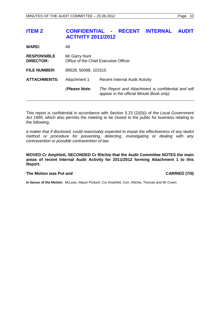# <span id="page-9-0"></span>**ITEM 2 CONFIDENTIAL - RECENT INTERNAL AUDIT ACTIVITY 2011/2012**

| <b>WARD:</b>                           | All                                                    |                                                                                                |  |
|----------------------------------------|--------------------------------------------------------|------------------------------------------------------------------------------------------------|--|
| <b>RESPONSIBLE</b><br><b>DIRECTOR:</b> | Mr Garry Hunt<br>Office of the Chief Executive Officer |                                                                                                |  |
| <b>FILE NUMBER:</b>                    | 89528, 50068, 101515                                   |                                                                                                |  |
| <b>ATTACHMENTS:</b>                    | Attachment 1                                           | <b>Recent Internal Audit Activity</b>                                                          |  |
|                                        | (Please Note:                                          | The Report and Attachment is confidential and will<br>appear in the official Minute Book only) |  |

This report is confidential in accordance with Section 5.23 (2)(f)(i) of the *Local Government Act 1995,* which also permits the meeting to be closed to the public for business relating to the following:

*a matter that if disclosed, could reasonably expected to impair the effectiveness of any lawful method or procedure for preventing, detecting, investigating or dealing with any contravention or possible contravention of law.* 

**MOVED Cr Amphlett, SECONDED Cr Ritchie that the Audit Committee NOTES the main areas of recent Internal Audit Activity for 2011/2012 forming Attachment 1 to this Report.**

#### The Motion was Put and **CARRIED** (7/0)

**In favour of the Motion:** McLean, Mayor Pickard, Crs Amphlett, Corr, Ritchie, Thomas and Mr Cowin.